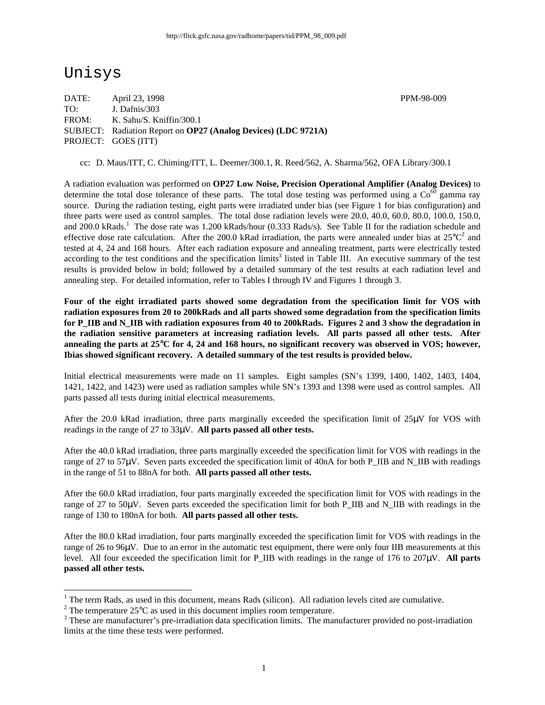# Unisys

DATE: April 23, 1998 PPM-98-009 TO: J. Dafnis/303 FROM: K. Sahu/S. Kniffin/300.1 SUBJECT: Radiation Report on **OP27 (Analog Devices) (LDC 9721A)** PROJECT: GOES (ITT)

cc: D. Maus/ITT, C. Chiming/ITT, L. Deemer/300.1, R. Reed/562, A. Sharma/562, OFA Library/300.1

A radiation evaluation was performed on **OP27 Low Noise, Precision Operational Amplifier (Analog Devices)** to determine the total dose tolerance of these parts. The total dose testing was performed using a  $\text{Co}^{60}$  gamma ray source. During the radiation testing, eight parts were irradiated under bias (see Figure 1 for bias configuration) and three parts were used as control samples. The total dose radiation levels were 20.0, 40.0, 60.0, 80.0, 100.0, 150.0, and 200.0 kRads.<sup>1</sup> The dose rate was 1.200 kRads/hour (0.333 Rads/s). See Table II for the radiation schedule and effective dose rate calculation. After the 200.0 kRad irradiation, the parts were annealed under bias at  $25^{\circ}C^2$  and tested at 4, 24 and 168 hours. After each radiation exposure and annealing treatment, parts were electrically tested according to the test conditions and the specification limits<sup>3</sup> listed in Table III. An executive summary of the test results is provided below in bold; followed by a detailed summary of the test results at each radiation level and annealing step. For detailed information, refer to Tables I through IV and Figures 1 through 3.

**Four of the eight irradiated parts showed some degradation from the specification limit for VOS with radiation exposures from 20 to 200kRads and all parts showed some degradation from the specification limits for P\_IIB and N\_IIB with radiation exposures from 40 to 200kRads. Figures 2 and 3 show the degradation in the radiation sensitive parameters at increasing radiation levels. All parts passed all other tests. After annealing the parts at 25**°**C for 4, 24 and 168 hours, no significant recovery was observed in VOS; however, Ibias showed significant recovery. A detailed summary of the test results is provided below.**

Initial electrical measurements were made on 11 samples. Eight samples (SN's 1399, 1400, 1402, 1403, 1404, 1421, 1422, and 1423) were used as radiation samples while SN's 1393 and 1398 were used as control samples. All parts passed all tests during initial electrical measurements.

After the 20.0 kRad irradiation, three parts marginally exceeded the specification limit of 25μV for VOS with readings in the range of 27 to 33μV. **All parts passed all other tests.**

After the 40.0 kRad irradiation, three parts marginally exceeded the specification limit for VOS with readings in the range of 27 to 57µV. Seven parts exceeded the specification limit of 40nA for both P\_IIB and N\_IIB with readings in the range of 51 to 88nA for both. **All parts passed all other tests.**

After the 60.0 kRad irradiation, four parts marginally exceeded the specification limit for VOS with readings in the range of 27 to 50μV. Seven parts exceeded the specification limit for both P\_IIB and N\_IIB with readings in the range of 130 to 180nA for both. **All parts passed all other tests.**

After the 80.0 kRad irradiation, four parts marginally exceeded the specification limit for VOS with readings in the range of 26 to 96μV. Due to an error in the automatic test equipment, there were only four IIB measurements at this level. All four exceeded the specification limit for P\_IIB with readings in the range of 176 to 207μV. **All parts passed all other tests.**

<sup>&</sup>lt;sup>1</sup> The term Rads, as used in this document, means Rads (silicon). All radiation levels cited are cumulative.

<sup>&</sup>lt;sup>2</sup> The temperature 25 $\rm{°C}$  as used in this document implies room temperature.

 $3$  These are manufacturer's pre-irradiation data specification limits. The manufacturer provided no post-irradiation limits at the time these tests were performed.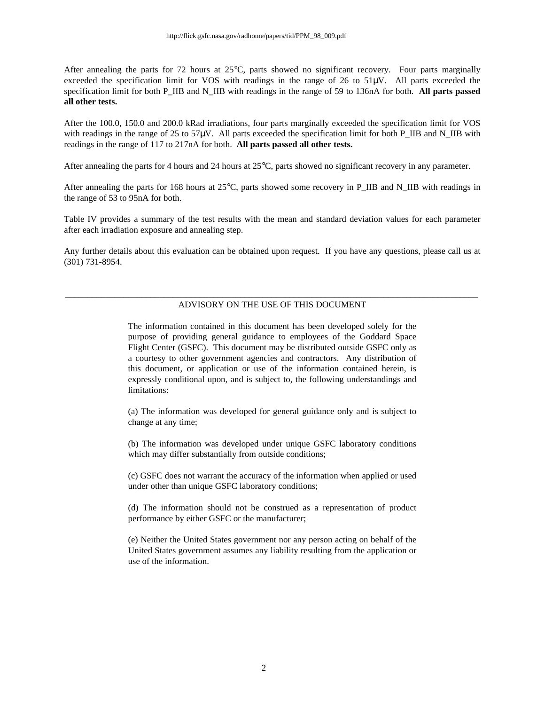After annealing the parts for 72 hours at 25°C, parts showed no significant recovery. Four parts marginally exceeded the specification limit for VOS with readings in the range of 26 to  $51\mu$ V. All parts exceeded the specification limit for both P\_IIB and N\_IIB with readings in the range of 59 to 136nA for both. **All parts passed all other tests.**

After the 100.0, 150.0 and 200.0 kRad irradiations, four parts marginally exceeded the specification limit for VOS with readings in the range of 25 to 57 $\mu$ V. All parts exceeded the specification limit for both P\_IIB and N\_IIB with readings in the range of 117 to 217nA for both. **All parts passed all other tests.**

After annealing the parts for 4 hours and 24 hours at 25°C, parts showed no significant recovery in any parameter.

After annealing the parts for 168 hours at  $25^{\circ}$ C, parts showed some recovery in P\_IIB and N\_IIB with readings in the range of 53 to 95nA for both.

Table IV provides a summary of the test results with the mean and standard deviation values for each parameter after each irradiation exposure and annealing step.

Any further details about this evaluation can be obtained upon request. If you have any questions, please call us at (301) 731-8954.

#### \_\_\_\_\_\_\_\_\_\_\_\_\_\_\_\_\_\_\_\_\_\_\_\_\_\_\_\_\_\_\_\_\_\_\_\_\_\_\_\_\_\_\_\_\_\_\_\_\_\_\_\_\_\_\_\_\_\_\_\_\_\_\_\_\_\_\_\_\_\_\_\_\_\_\_\_\_\_\_\_\_\_\_\_\_\_\_\_\_\_\_\_ ADVISORY ON THE USE OF THIS DOCUMENT

The information contained in this document has been developed solely for the purpose of providing general guidance to employees of the Goddard Space Flight Center (GSFC). This document may be distributed outside GSFC only as a courtesy to other government agencies and contractors. Any distribution of this document, or application or use of the information contained herein, is expressly conditional upon, and is subject to, the following understandings and limitations:

(a) The information was developed for general guidance only and is subject to change at any time;

(b) The information was developed under unique GSFC laboratory conditions which may differ substantially from outside conditions;

(c) GSFC does not warrant the accuracy of the information when applied or used under other than unique GSFC laboratory conditions;

(d) The information should not be construed as a representation of product performance by either GSFC or the manufacturer;

(e) Neither the United States government nor any person acting on behalf of the United States government assumes any liability resulting from the application or use of the information.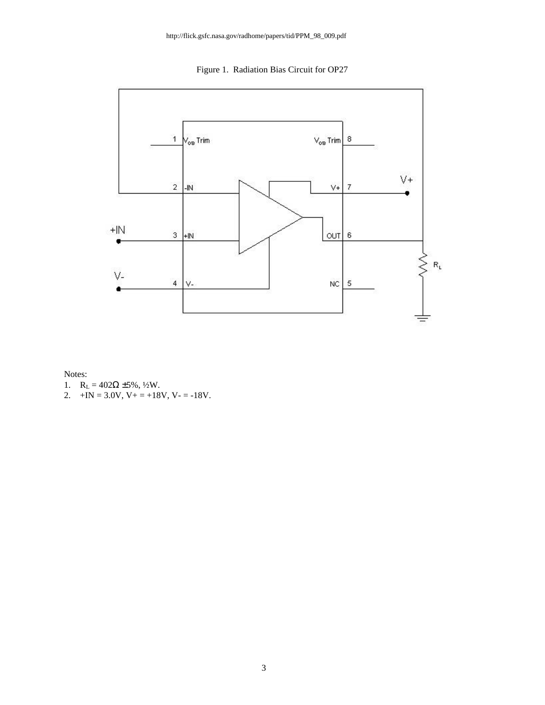Figure 1. Radiation Bias Circuit for OP27



Notes:

- 1.  $R_L = 402Ω ± 5%$ , ½W.
- 2.  $+IN = 3.0V$ ,  $V + = +18V$ ,  $V = -18V$ .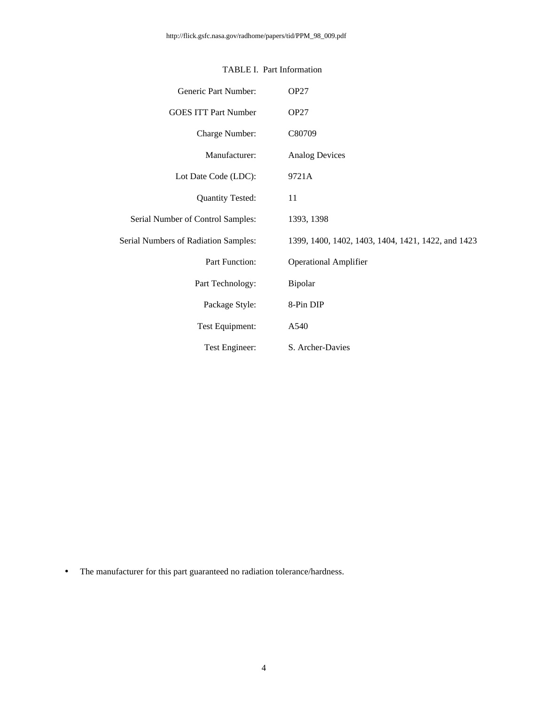| Generic Part Number:                        | <b>OP27</b>                                        |
|---------------------------------------------|----------------------------------------------------|
| <b>GOES ITT Part Number</b>                 | OP <sub>27</sub>                                   |
| Charge Number:                              | C80709                                             |
| Manufacturer:                               | <b>Analog Devices</b>                              |
| Lot Date Code (LDC):                        | 9721A                                              |
| <b>Quantity Tested:</b>                     | 11                                                 |
| Serial Number of Control Samples:           | 1393, 1398                                         |
| <b>Serial Numbers of Radiation Samples:</b> | 1399, 1400, 1402, 1403, 1404, 1421, 1422, and 1423 |
| Part Function:                              | <b>Operational Amplifier</b>                       |
| Part Technology:                            | Bipolar                                            |
| Package Style:                              | 8-Pin DIP                                          |
| Test Equipment:                             | A540                                               |
| Test Engineer:                              | S. Archer-Davies                                   |

### TABLE I. Part Information

• The manufacturer for this part guaranteed no radiation tolerance/hardness.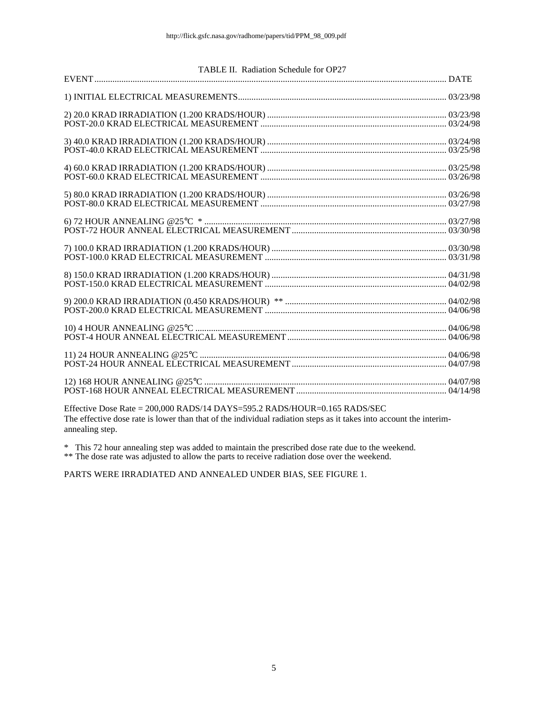#### TABLE II. Radiation Schedule for OP27

Effective Dose Rate = 200,000 RADS/14 DAYS=595.2 RADS/HOUR=0.165 RADS/SEC The effective dose rate is lower than that of the individual radiation steps as it takes into account the interimannealing step.

\* This 72 hour annealing step was added to maintain the prescribed dose rate due to the weekend.

\*\* The dose rate was adjusted to allow the parts to receive radiation dose over the weekend.

PARTS WERE IRRADIATED AND ANNEALED UNDER BIAS, SEE FIGURE 1.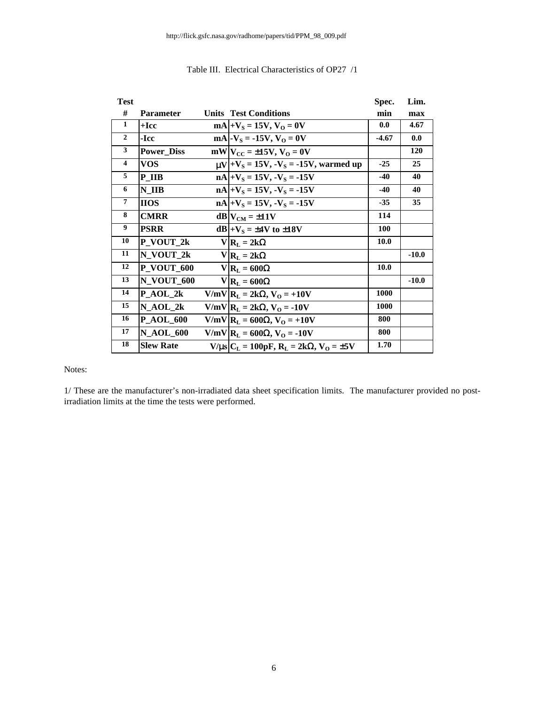| <b>Test</b>             |                   |                                                                   | Spec.       | Lim.    |
|-------------------------|-------------------|-------------------------------------------------------------------|-------------|---------|
| #                       | <b>Parameter</b>  | <b>Units Test Conditions</b>                                      | min         | max     |
| 1                       | $+$ Icc           | $mA$  + $V_S$ = 15V, $V_O$ = 0V                                   | 0.0         | 4.67    |
| $\overline{2}$          | -Icc              | $mA$ -V <sub>s</sub> = -15V, V <sub>o</sub> = 0V                  | $-4.67$     | 0.0     |
| $\mathbf{3}$            | <b>Power Diss</b> | $mW V_{CC} = \pm 15V$ , $V_O = 0V$                                |             | 120     |
| $\overline{\mathbf{4}}$ | <b>VOS</b>        | $\mu V$ + V <sub>s</sub> = 15V, -V <sub>s</sub> = -15V, warmed up | $-25$       | 25      |
| 5                       | P IIB             | $nA +V_s = 15V, -V_s = -15V$                                      | $-40$       | 40      |
| 6                       | N IIB             | $nA +V_s = 15V, -V_s = -15V$                                      | $-40$       | 40      |
| $\overline{7}$          | <b>HOS</b>        | $nA +V_s = 15V, -V_s = -15V$                                      | $-35$       | 35      |
| 8                       | <b>CMRR</b>       | $dB V_{CM} = \pm 11V$                                             | 114         |         |
| 9                       | <b>PSRR</b>       | $dB +VS = \pm 4V$ to $\pm 18V$                                    | 100         |         |
| 10                      | P_VOUT_2k         | $V R_L = 2k\Omega$                                                | 10.0        |         |
| 11                      | N VOUT 2k         | $V R_L = 2k\Omega$                                                |             | $-10.0$ |
| 12                      | <b>P_VOUT_600</b> | $V R_L = 600\Omega$                                               | 10.0        |         |
| 13                      | N_VOUT_600        | $V R_L = 600\Omega$                                               |             | $-10.0$ |
| 14                      | $P_AOL_2k$        | $V/mV$   $R_L = 2k\Omega$ , $V_O = +10V$                          | 1000        |         |
| 15                      | $N_AOL_2k$        | $V/mV$ $R_L = 2k\Omega$ , $V_O = -10V$                            | <b>1000</b> |         |
| 16                      | <b>P AOL 600</b>  | V/mV R <sub>L</sub> = 600Ω, V <sub>O</sub> = +10V                 | 800         |         |
| 17                      | <b>N_AOL_600</b>  | V/mV R <sub>L</sub> = 600Ω, V <sub>O</sub> = -10V                 | 800         |         |
| 18                      | <b>Slew Rate</b>  | $V/\mu s$ $C_L = 100pF$ , $R_L = 2k\Omega$ , $V_O = \pm 5V$       | 1.70        |         |

#### Table III. Electrical Characteristics of OP27 /1

Notes:

1/ These are the manufacturer's non-irradiated data sheet specification limits. The manufacturer provided no postirradiation limits at the time the tests were performed.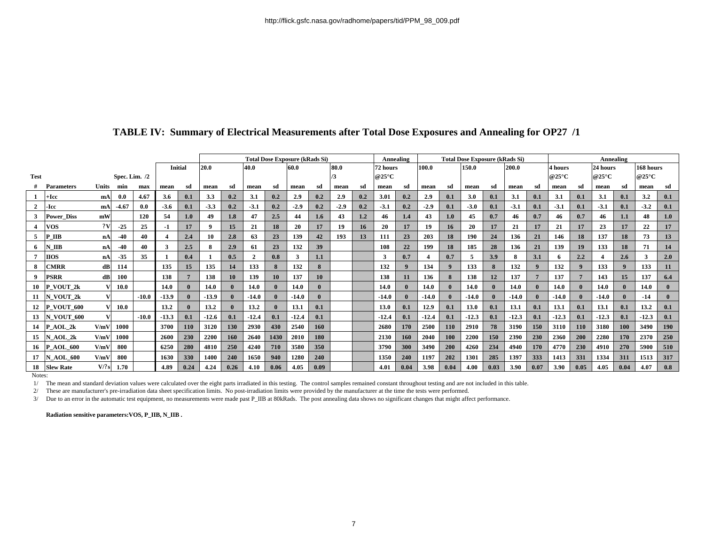|                |                      |              |            |         |                |                  | <b>Total Dose Exposure (kRads Si)</b> |            |          |      |                          |      |        |     |          | <b>Total Dose Exposure (kRads Si)</b><br><b>Annealing</b> |         |            |         |      |         |          | <b>Annealing</b>         |              |          |              |           |            |  |
|----------------|----------------------|--------------|------------|---------|----------------|------------------|---------------------------------------|------------|----------|------|--------------------------|------|--------|-----|----------|-----------------------------------------------------------|---------|------------|---------|------|---------|----------|--------------------------|--------------|----------|--------------|-----------|------------|--|
|                |                      |              |            |         | <b>Initial</b> |                  | 20.0<br>40.0                          |            |          |      | 80.0<br>60.0             |      |        |     | 72 hours |                                                           | 100.0   |            | 150.0   |      | 200.0   |          | <b>4 hours</b>           |              | 24 hours |              | 168 hours |            |  |
| <b>Test</b>    | Spec. Lim. $/2$      |              |            |         |                |                  |                                       |            |          |      | @25 $\mathrm{^{\circ}C}$ |      |        |     |          |                                                           |         |            | @25°C   |      | @25°C   |          | @25 $\mathrm{^{\circ}C}$ |              |          |              |           |            |  |
|                | <b>Parameters</b>    | <b>Units</b> | min        | max     | mean           | sd               | mean                                  | sd         | mean     | sd   | mean                     | sd   | mean   | sd  | mean     | sd                                                        | mean    | sd         | mean    | sd   | mean    | sd       | mean                     | sd           | mean     | sd           | mean      | sd         |  |
|                | $+$ <b>Icc</b>       | mA           | 0.0        | 4.67    | 3.6            | 0.1              | 3.3                                   | 0.2        | 3.1      | 0.2  | 2.9                      | 0.2  | 2.9    | 0.2 | 3.01     | 0.2                                                       | 2.9     | 0.1        | 3.0     | 0.1  | 3.1     | 0.1      | 3.1                      | 0.1          | 3.1      | 0.1          | 3.2       | 0.1        |  |
| $\overline{2}$ | -Icc                 | mA           | $-4.67$    | 0.0     | $-3.6$         | 0.1              | $-3.3$                                | 0.2        | $-3.1$   | 0.2  | $-2.9$                   | 0.2  | $-2.9$ | 0.2 | $-3.1$   | 0.2                                                       | $-2.9$  | 0.1        | $-3.0$  | 0.1  | $-3.1$  | 0.1      | $-3.1$                   | 0.1          | $-3.1$   | 0.1          | $-3.2$    | 0.1        |  |
|                | <b>Power Diss</b>    | mW           |            | 120     | 54             | 1.0 <sub>1</sub> | 49                                    | 1.8        | 47       | 2.5  | 44                       | 1.6  | 43     | 1.2 | 46       | 1.4                                                       | 43      | 1.0        | 45      | 0.7  | 46      | 0.7      | 46                       | 0.7          | 46       | 1.1          | 48        | 1.0        |  |
|                | <b>VOS</b>           | 2V           | $-25$      | 25      | $-1$           | 17               | - 9                                   | 15         | 21       | 18   | 20                       | 17   | 19     | 16  | 20       | 17                                                        | 19      | 16         | 20      | 17   | 21      | 17       | 21                       | 17           | 23       | 17           | 22        | 17         |  |
| 5              | P IIB                | nA           | $-40$      | 40      |                | 2.4              | 10                                    | 2.8        | 63       | 23   | 139                      | 42   | 193    | 13  | 111      | 23                                                        | 203     | 18         | 190     | 24   | 136     | 21       | 146                      | 18           | 137      | 18           | 73        | 13         |  |
| 6              | N IIB                | nA           | $-40$      | 40      | 3              | 2.5              | 8                                     | 2.9        | 61       | 23   | 132                      | 39   |        |     | 108      | 22                                                        | 199     | 18         | 185     | 28   | 136     | 21       | 139                      | 19           | 133      | 18           | 71        | 14         |  |
|                | <b>IIOS</b>          | nA           | $-35$      | 35      |                | 0.4              |                                       | 0.5        | $\gamma$ | 0.8  |                          | 1.1  |        |     | 3        | 0.7                                                       |         | 0.7        | 5       | 3.9  |         | 3.1      |                          | 2.2          |          | 2.6          |           | 2.0        |  |
| 8              | <b>CMRR</b>          | dB           | 114        |         | 135            | 15               | 135                                   | 14         | 133      |      | 132                      |      |        |     | 132      | $\bf{Q}$                                                  | 134     |            | 133     |      | 132     | $\bf{Q}$ | 132                      | $\bf{Q}$     | 133      | $\mathbf{Q}$ | 133       | 11         |  |
| - 9            | <b>PSRR</b>          | dB           | <b>100</b> |         | 138            |                  | 138                                   | 10         | 139      | 10   | 137                      | 10   |        |     | 138      | 11                                                        | 136     |            | 138     | 12   | 137     |          | 137                      |              | 143      | 15           | 137       | 6.4        |  |
| 10             | P VOUT 2k            |              | 10.0       |         | 14.0           |                  | 14.0                                  |            | 14.0     |      | 14.0                     |      |        |     | 14.0     | $\mathbf{0}$                                              | 14.0    |            | 14.0    |      | 14.0    |          | 14.0                     | $\mathbf{0}$ | 14.0     |              | 14.0      |            |  |
| 11             | N VOUT 2k            |              |            | $-10.0$ | $-13.9$        |                  | $-13.9$                               |            | $-14.0$  |      | $-14.0$                  |      |        |     | $-14.0$  |                                                           | $-14.0$ |            | $-14.0$ |      | $-14.0$ |          | $-14.0$                  | $\mathbf{0}$ | $-14.0$  |              | $-14$     |            |  |
| 12             | <b>P VOUT 600</b>    |              | 10.0       |         | 13.2           |                  | 13.2                                  |            | 13.2     |      | 13.1                     | 0.1  |        |     | 13.0     | 0.1                                                       | 12.9    | 0.1        | 13.0    | 0.1  | 13.1    | 0.1      | 13.1                     | 0.1          | 13.1     | 0.1          | 13.2      | 0.1        |  |
| 13             | <b>N VOUT 600</b>    |              |            | $-10.0$ | $-13.3$        | 0.1              | $-12.6$                               | 0.1        | $-12.4$  | 0.1  | $-12.4$                  | 0.1  |        |     | $-12.4$  | 0.1                                                       | $-12.4$ | 0.1        | $-12.3$ | 0.1  | $-12.3$ | 0.1      | $-12.3$                  | 0.1          | $-12.3$  | 0.1          | $-12.3$   | 0.1        |  |
| 14             | P AOL 2k             | V/mV         | 1000       |         | 3700           | <b>110</b>       | 3120                                  | 130        | 2930     | 430  | 2540                     | 160  |        |     | 2680     | 170                                                       | 2500    | <b>110</b> | 2910    | 78   | 3190    | 150      | 3110                     | <b>110</b>   | 3180     | <b>100</b>   | 3490      | <b>190</b> |  |
| 15             | N AOL 2k             | V/mV         | 1000       |         | 2600           | 230              | 2200                                  | <b>160</b> | 2640     | 1430 | 2010                     | 180  |        |     | 2130     | 160                                                       | 2040    | 100        | 2200    | 150  | 2390    | 230      | 2360                     | 200          | 2280     | 170          | 2370      | 250        |  |
| 16             | <b>AOL 600</b><br>IP | V/mV         | 800        |         | 6250           | 280              | 4810                                  | 250        | 4240     | 710  | 3580                     | 350  |        |     | 3790     | 300                                                       | 3490    | 200        | 4260    | 234  | 4940    | 170      | 4770                     | 230          | 4910     | 270          | 5900      | 510        |  |
| 17             | <b>AOL 600</b>       | V/mV         | 800        |         | 1630           | 330              | 1400                                  | 240        | 1650     | 940  | 1280                     | 240  |        |     | 1350     | 240                                                       | 1197    | 202        | 1301    | 285  | 1397    | 333      | 1413                     | 331          | 1334     | 311          | 1513      | 317        |  |
| 18             | <b>Slew Rate</b>     | V/?s         | 1.70       |         | 4.89           | 0.24             | 4.24                                  | 0.26       | 4.10     | 0.06 | 4.05                     | 0.09 |        |     | 4.01     | 0.04                                                      | 3.98    | 0.04       | 4.00    | 0.03 | 3.90    | 0.07     | 3.90                     | 0.05         | 4.05     | 0.04         | 4.07      | 0.8        |  |

## **TABLE IV: Summary of Electrical Measurements after Total Dose Exposures and Annealing for OP27 /1**

Notes:

1/ The mean and standard deviation values were calculated over the eight parts irradiated in this testing. The control samples remained constant throughout testing and are not included in this table.

2/ These are manufacturer's pre-irradiation data sheet specification limits. No post-irradiation limits were provided by the manufacturer at the time the tests were performed.

3/ Due to an error in the automatic test equipment, no measurements were made past P\_IIB at 80kRads. The post annealing data shows no significant changes that might affect performance.

**Radiation sensitive parameters:VOS, P\_IIB, N\_IIB .**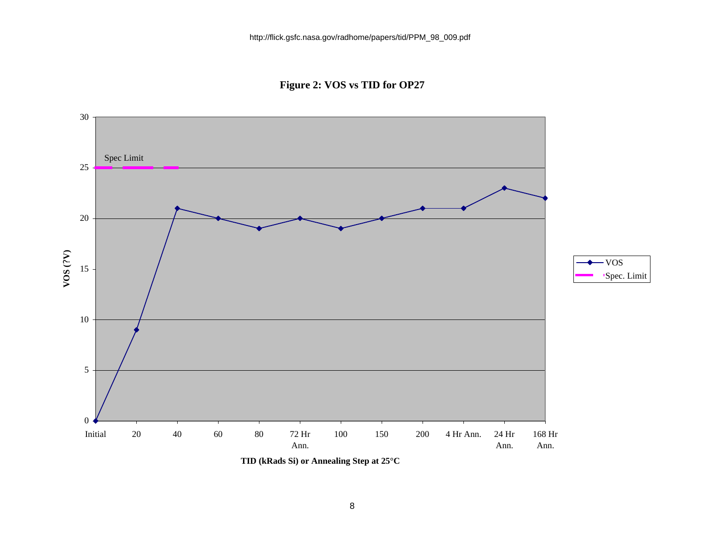**Figure 2: VOS vs TID for OP27**



**TID (kRads Si) or Annealing Step at 25°C**